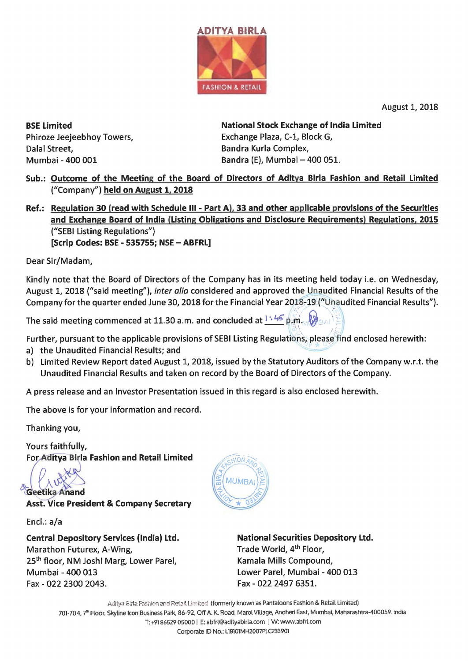

August 1, 2018

BSE Limited Phiroze Jeejeebhoy Towers, Dalal Street, Mumbai - 400 001

National Stock Exchange of India Limited Exchange Plaza, C-1, Block G, Bandra Kurla Complex, Bandra (E), Mumbai - 400 051.

Sub.: Outcome of the Meeting of the Board of Directors of Aditya Birla Fashion and Retail Limited ("Company") held on August 1, 2018

Ref.: Regulation 30 (read with Schedule Ill - Part A), 33 and other applicable provisions of the Securities and Exchange Board of India (Listing Obligations and Disclosure Requirements) Regulations, 2015 ("SEBI listing Regulations") [Scrip Codes: BSE - 535755; NSE - ABFRL]

Dear Sir/Madam,

Kindly note that the Board of Directors of the Company has in its meeting held today i.e. on Wednesday, August 1, 2018 ("said meeting"), *inter alia* considered and approved the Unaudited Financial Results of the Company for the quarter ended June 30, 2018 for the Financial Year 2018-19 ("Unaudited Financial Results").

The said meeting commenced at 11.30 a.m. and concluded at  $1 \cdot 45$  p.m.  $\frac{1}{2}$ 

 $\mathcal{E}$ Further, pursuant to the applicable provisions of SEBI Listing Regulations, please find enclosed herewith:

- a) the Unaudited Financial Results; and
- b) Limited Review Report dated August 1, 2018, issued by the Statutory Auditors of the Company w.r.t. the Unaudited Financial Results and taken on record by the Board of Directors ofthe Company.

A press release and an Investor Presentation issued in this regard is also enclosed herewith.

The above is for your information and record.

Thanking you,

Yours faithfully, For Aditya Birla Fashion and Retail Limited

Geetika Anand

Asst. Vice President & Company Secretary

Encl.: a/a

Central Depository Services (India) Ltd. Marathon Futurex, A-Wing, 25th floor, NM Joshi Marg, Lower Parel, Mumbai - 400 013 Fax - 022 2300 2043.



National Securities Depository Ltd. Trade World, 4<sup>th</sup> Floor, Kamala Mills Compound, Lower Parel, Mumbai - 400 013 Fax - 022 2497 6351.

Aditya Birla Fashion and Retail Limited (formerly known as Pantaloons Fashion & Retail Limited) 701-704, 7"' Floor, SkyUne Icon Business Park, 86-92, Off A. K. Road, Marol Village, Andherl East, Mumbai, Maharashtra-400059. India T: +9186529 05000 I E: abfrl@adityabirla.com I W: www.abfrl.com Corporate ID No.: L18101MH2007PLC233901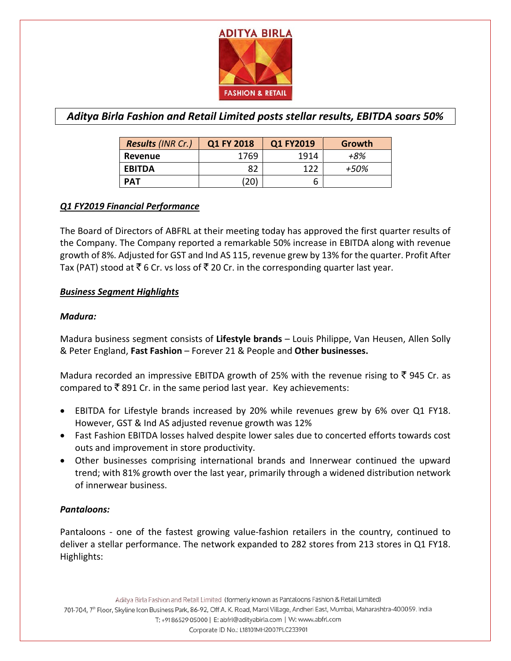

# *Aditya Birla Fashion and Retail Limited posts stellar results, EBITDA soars 50%*

| <b>Results (INR Cr.)</b> | Q1 FY 2018   | Q1 FY2019 | Growth |
|--------------------------|--------------|-----------|--------|
| Revenue                  | 1769         | 1914      | +8%    |
| <b>EBITDA</b>            | 82           | 122       | +50%   |
| <b>PAT</b>               | $20^{\circ}$ | b         |        |

# *Q1 FY2019 Financial Performance*

The Board of Directors of ABFRL at their meeting today has approved the first quarter results of the Company. The Company reported a remarkable 50% increase in EBITDA along with revenue growth of 8%. Adjusted for GST and Ind AS 115, revenue grew by 13% for the quarter. Profit After Tax (PAT) stood at  $\bar{\tau}$  6 Cr. vs loss of  $\bar{\tau}$  20 Cr. in the corresponding quarter last year.

#### *Business Segment Highlights*

#### *Madura:*

Madura business segment consists of **Lifestyle brands** – Louis Philippe, Van Heusen, Allen Solly & Peter England, **Fast Fashion** – Forever 21 & People and **Other businesses.**

Madura recorded an impressive EBITDA growth of 25% with the revenue rising to  $\bar{\xi}$  945 Cr. as compared to  $\bar{\tau}$  891 Cr. in the same period last year. Key achievements:

- EBITDA for Lifestyle brands increased by 20% while revenues grew by 6% over Q1 FY18. However, GST & Ind AS adjusted revenue growth was 12%
- Fast Fashion EBITDA losses halved despite lower sales due to concerted efforts towards cost outs and improvement in store productivity.
- Other businesses comprising international brands and Innerwear continued the upward trend; with 81% growth over the last year, primarily through a widened distribution network of innerwear business.

## *Pantaloons:*

Pantaloons - one of the fastest growing value-fashion retailers in the country, continued to deliver a stellar performance. The network expanded to 282 stores from 213 stores in Q1 FY18. Highlights: